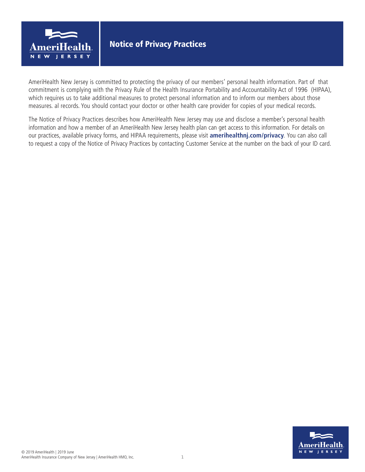

AmeriHealth New Jersey is committed to protecting the privacy of our members' personal health information. Part of that commitment is complying with the Privacy Rule of the Health Insurance Portability and Accountability Act of 1996 (HIPAA), which requires us to take additional measures to protect personal information and to inform our members about those measures. al records. You should contact your doctor or other health care provider for copies of your medical records.

The Notice of Privacy Practices describes how AmeriHealth New Jersey may use and disclose a member's personal health information and how a member of an AmeriHealth New Jersey health plan can get access to this information. For details on our practices, available privacy forms, and HIPAA requirements, please visit **amerihealthnj.com/privacy**. You can also call to request a copy of the Notice of Privacy Practices by contacting Customer Service at the number on the back of your ID card.

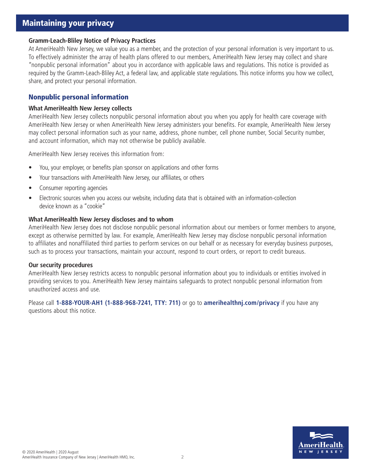# Maintaining your privacy

#### **Gramm-Leach-Bliley Notice of Privacy Practices**

At AmeriHealth New Jersey, we value you as a member, and the protection of your personal information is very important to us. To effectively administer the array of health plans offered to our members, AmeriHealth New Jersey may collect and share "nonpublic personal information" about you in accordance with applicable laws and regulations. This notice is provided as required by the Gramm-Leach-Bliley Act, a federal law, and applicable state regulations. This notice informs you how we collect, share, and protect your personal information.

## Nonpublic personal information

#### **What AmeriHealth New Jersey collects**

AmeriHealth New Jersey collects nonpublic personal information about you when you apply for health care coverage with AmeriHealth New Jersey or when AmeriHealth New Jersey administers your benefits. For example, AmeriHealth New Jersey may collect personal information such as your name, address, phone number, cell phone number, Social Security number, and account information, which may not otherwise be publicly available.

AmeriHealth New Jersey receives this information from:

- You, your employer, or benefits plan sponsor on applications and other forms
- Your transactions with AmeriHealth New Jersey, our affiliates, or others
- Consumer reporting agencies
- Electronic sources when you access our website, including data that is obtained with an information-collection device known as a "cookie"

#### **What AmeriHealth New Jersey discloses and to whom**

AmeriHealth New Jersey does not disclose nonpublic personal information about our members or former members to anyone, except as otherwise permitted by law. For example, AmeriHealth New Jersey may disclose nonpublic personal information to affiliates and nonaffiliated third parties to perform services on our behalf or as necessary for everyday business purposes, such as to process your transactions, maintain your account, respond to court orders, or report to credit bureaus.

#### **Our security procedures**

AmeriHealth New Jersey restricts access to nonpublic personal information about you to individuals or entities involved in providing services to you. AmeriHealth New Jersey maintains safeguards to protect nonpublic personal information from unauthorized access and use.

Please call **1-888-YOUR-AH1 (1-888-968-7241, TTY: 711)** or go to **amerihealthnj.com/privacy** if you have any questions about this notice.

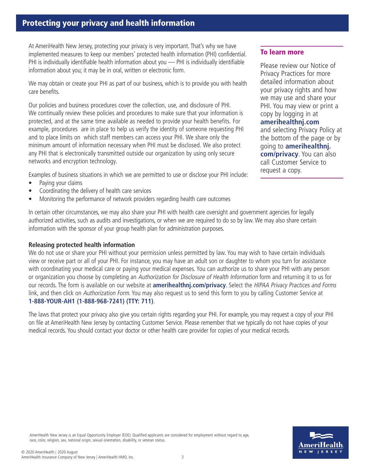# Protecting your privacy and health information

At AmeriHealth New Jersey, protecting your privacy is very important. That's why we have implemented measures to keep our members' protected health information (PHI) confidential. PHI is individually identifiable health information about you — PHI is individually identifiable information about you; it may be in oral, written or electronic form.

We may obtain or create your PHI as part of our business, which is to provide you with health care benefits.

Our policies and business procedures cover the collection, use, and disclosure of PHI. We continually review these policies and procedures to make sure that your information is protected, and at the same time available as needed to provide your health benefits. For example, procedures are in place to help us verify the identity of someone requesting PHI and to place limits on which staff members can access your PHI. We share only the minimum amount of information necessary when PHI must be disclosed. We also protect any PHI that is electronically transmitted outside our organization by using only secure networks and encryption technology.

Examples of business situations in which we are permitted to use or disclose your PHI include:

- Paying your claims
- Coordinating the delivery of health care services
- Monitoring the performance of network providers regarding health care outcomes

In certain other circumstances, we may also share your PHI with health care oversight and government agencies for legally authorized activities, such as audits and investigations, or when we are required to do so by law. We may also share certain information with the sponsor of your group health plan for administration purposes.

## **Releasing protected health information**

We do not use or share your PHI without your permission unless permitted by law. You may wish to have certain individuals view or receive part or all of your PHI. For instance, you may have an adult son or daughter to whom you turn for assistance with coordinating your medical care or paying your medical expenses. You can authorize us to share your PHI with any person or organization you choose by completing an Authorization for Disclosure of Health Information form and returning it to us for our records. The form is available on our website at **amerihealthnj.com/privacy**. Select the HIPAA Privacy Practices and Forms link, and then click on Authorization Form. You may also request us to send this form to you by calling Customer Service at **1-888-YOUR-AH1 (1-888-968-7241) (TTY: 711)**.

The laws that protect your privacy also give you certain rights regarding your PHI. For example, you may request a copy of your PHI on file at AmeriHealth New Jersey by contacting Customer Service. Please remember that we typically do not have copies of your medical records. You should contact your doctor or other health care provider for copies of your medical records.

## To learn more

Please review our Notice of Privacy Practices for more detailed information about your privacy rights and how we may use and share your PHI. You may view or print a copy by logging in at **amerihealthnj.com** and selecting Privacy Policy at the bottom of the page or by going to **amerihealthnj. com/privacy**. You can also call Customer Service to request a copy.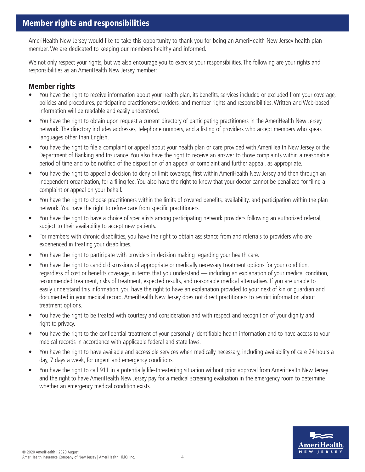AmeriHealth New Jersey would like to take this opportunity to thank you for being an AmeriHealth New Jersey health plan member. We are dedicated to keeping our members healthy and informed.

We not only respect your rights, but we also encourage you to exercise your responsibilities. The following are your rights and responsibilities as an AmeriHealth New Jersey member:

## Member rights

- You have the right to receive information about your health plan, its benefits, services included or excluded from your coverage, policies and procedures, participating practitioners/providers, and member rights and responsibilities. Written and Web-based information will be readable and easily understood.
- You have the right to obtain upon request a current directory of participating practitioners in the AmeriHealth New Jersey network. The directory includes addresses, telephone numbers, and a listing of providers who accept members who speak languages other than English.
- You have the right to file a complaint or appeal about your health plan or care provided with AmeriHealth New Jersey or the Department of Banking and Insurance. You also have the right to receive an answer to those complaints within a reasonable period of time and to be notified of the disposition of an appeal or complaint and further appeal, as appropriate.
- You have the right to appeal a decision to deny or limit coverage, first within AmeriHealth New Jersey and then through an independent organization, for a filing fee. You also have the right to know that your doctor cannot be penalized for filing a complaint or appeal on your behalf.
- You have the right to choose practitioners within the limits of covered benefits, availability, and participation within the plan network. You have the right to refuse care from specific practitioners.
- You have the right to have a choice of specialists among participating network providers following an authorized referral, subject to their availability to accept new patients.
- For members with chronic disabilities, you have the right to obtain assistance from and referrals to providers who are experienced in treating your disabilities.
- You have the right to participate with providers in decision making regarding your health care.
- You have the right to candid discussions of appropriate or medically necessary treatment options for your condition, regardless of cost or benefits coverage, in terms that you understand — including an explanation of your medical condition, recommended treatment, risks of treatment, expected results, and reasonable medical alternatives. If you are unable to easily understand this information, you have the right to have an explanation provided to your next of kin or guardian and documented in your medical record. AmeriHealth New Jersey does not direct practitioners to restrict information about treatment options.
- You have the right to be treated with courtesy and consideration and with respect and recognition of your dignity and right to privacy.
- You have the right to the confidential treatment of your personally identifiable health information and to have access to your medical records in accordance with applicable federal and state laws.
- You have the right to have available and accessible services when medically necessary, including availability of care 24 hours a day, 7 days a week, for urgent and emergency conditions.
- You have the right to call 911 in a potentially life-threatening situation without prior approval from AmeriHealth New Jersey and the right to have AmeriHealth New Jersey pay for a medical screening evaluation in the emergency room to determine whether an emergency medical condition exists.

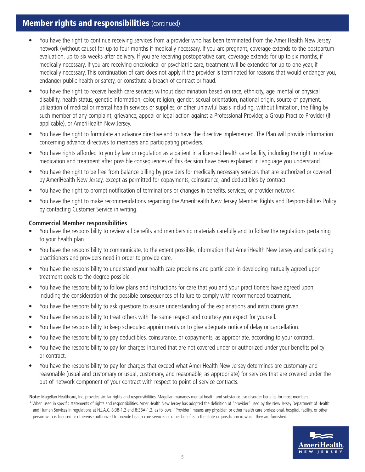# **Member rights and responsibilities (continued)**

- You have the right to continue receiving services from a provider who has been terminated from the AmeriHealth New Jersey network (without cause) for up to four months if medically necessary. If you are pregnant, coverage extends to the postpartum evaluation, up to six weeks after delivery. If you are receiving postoperative care, coverage extends for up to six months, if medically necessary. If you are receiving oncological or psychiatric care, treatment will be extended for up to one year, if medically necessary. This continuation of care does not apply if the provider is terminated for reasons that would endanger you, endanger public health or safety, or constitute a breach of contract or fraud.
- You have the right to receive health care services without discrimination based on race, ethnicity, age, mental or physical disability, health status, genetic information, color, religion, gender, sexual orientation, national origin, source of payment, utilization of medical or mental health services or supplies, or other unlawful basis including, without limitation, the filing by such member of any complaint, grievance, appeal or legal action against a Professional Provider, a Group Practice Provider (if applicable), or AmeriHealth New Jersey.
- You have the right to formulate an advance directive and to have the directive implemented. The Plan will provide information concerning advance directives to members and participating providers.
- You have rights afforded to you by law or regulation as a patient in a licensed health care facility, including the right to refuse medication and treatment after possible consequences of this decision have been explained in language you understand.
- You have the right to be free from balance billing by providers for medically necessary services that are authorized or covered by AmeriHealth New Jersey, except as permitted for copayments, coinsurance, and deductibles by contract.
- You have the right to prompt notification of terminations or changes in benefits, services, or provider network.
- You have the right to make recommendations regarding the AmeriHealth New Jersey Member Rights and Responsibilities Policy by contacting Customer Service in writing.

## **Commercial Member responsibilities**

- You have the responsibility to review all benefits and membership materials carefully and to follow the regulations pertaining to your health plan.
- You have the responsibility to communicate, to the extent possible, information that AmeriHealth New Jersey and participating practitioners and providers need in order to provide care.
- You have the responsibility to understand your health care problems and participate in developing mutually agreed upon treatment goals to the degree possible.
- You have the responsibility to follow plans and instructions for care that you and your practitioners have agreed upon, including the consideration of the possible consequences of failure to comply with recommended treatment.
- You have the responsibility to ask questions to assure understanding of the explanations and instructions given.
- You have the responsibility to treat others with the same respect and courtesy you expect for yourself.
- You have the responsibility to keep scheduled appointments or to give adequate notice of delay or cancellation.
- You have the responsibility to pay deductibles, coinsurance, or copayments, as appropriate, according to your contract.
- You have the responsibility to pay for charges incurred that are not covered under or authorized under your benefits policy or contract.
- You have the responsibility to pay for charges that exceed what AmeriHealth New Jersey determines are customary and reasonable (usual and customary or usual, customary, and reasonable, as appropriate) for services that are covered under the out-of-network component of your contract with respect to point-of-service contracts.

**Note:** Magellan Healthcare, Inc. provides similar rights and responsibilities. Magellan manages mental health and substance use disorder benefits for most members. \* When used in specific statements of rights and responsibilities, AmeriHealth New Jersey has adopted the definition of "provider" used by the New Jersey Department of Health and Human Services in regulations at N.J.A.C. 8:38-1.2 and 8:38A-1.2, as follows: "Provider" means any physician or other health care professional, hospital, facility, or other person who is licensed or otherwise authorized to provide health care services or other benefits in the state or jurisdiction in which they are furnished.

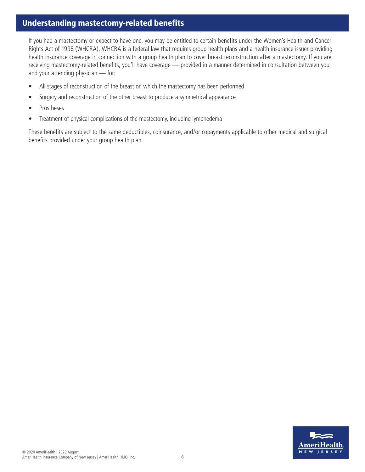# Understanding mastectomy-related benefits

If you had a mastectomy or expect to have one, you may be entitled to certain benefits under the Women's Health and Cancer Rights Act of 1998 (WHCRA). WHCRA is a federal law that requires group health plans and a health insurance issuer providing health insurance coverage in connection with a group health plan to cover breast reconstruction after a mastectomy. If you are receiving mastectomy-related benefits, you'll have coverage — provided in a manner determined in consultation between you and your attending physician — for:

- All stages of reconstruction of the breast on which the mastectomy has been performed
- Surgery and reconstruction of the other breast to produce a symmetrical appearance
- Prostheses
- Treatment of physical complications of the mastectomy, including lymphedema

These benefits are subject to the same deductibles, coinsurance, and/or copayments applicable to other medical and surgical benefits provided under your group health plan.

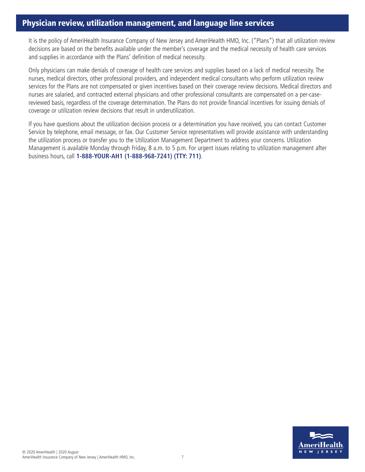# Physician review, utilization management, and language line services

It is the policy of AmeriHealth Insurance Company of New Jersey and AmeriHealth HMO, Inc. ("Plans") that all utilization review decisions are based on the benefits available under the member's coverage and the medical necessity of health care services and supplies in accordance with the Plans' definition of medical necessity.

Only physicians can make denials of coverage of health care services and supplies based on a lack of medical necessity. The nurses, medical directors, other professional providers, and independent medical consultants who perform utilization review services for the Plans are not compensated or given incentives based on their coverage review decisions. Medical directors and nurses are salaried, and contracted external physicians and other professional consultants are compensated on a per-casereviewed basis, regardless of the coverage determination. The Plans do not provide financial incentives for issuing denials of coverage or utilization review decisions that result in underutilization.

If you have questions about the utilization decision process or a determination you have received, you can contact Customer Service by telephone, email message, or fax. Our Customer Service representatives will provide assistance with understanding the utilization process or transfer you to the Utilization Management Department to address your concerns. Utilization Management is available Monday through Friday, 8 a.m. to 5 p.m. For urgent issues relating to utilization management after business hours, call **1-888-YOUR-AH1 (1-888-968-7241) (TTY: 711)**.

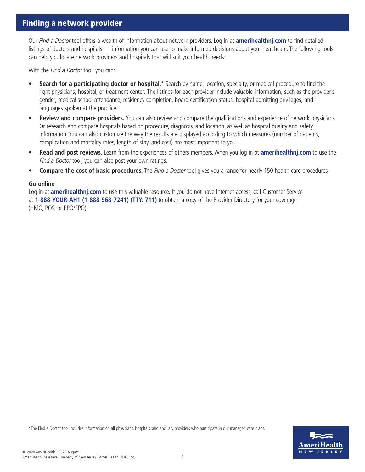## Finding a network provider

Our Find a Doctor tool offers a wealth of information about network providers. Log in at **amerihealthnj.com** to find detailed listings of doctors and hospitals — information you can use to make informed decisions about your healthcare. The following tools can help you locate network providers and hospitals that will suit your health needs:

With the *Find a Doctor* tool, you can:

- **• Search for a participating doctor or hospital.\*** Search by name, location, specialty, or medical procedure to find the right physicians, hospital, or treatment center. The listings for each provider include valuable information, such as the provider's gender, medical school attendance, residency completion, board certification status, hospital admitting privileges, and languages spoken at the practice.
- **• Review and compare providers.** You can also review and compare the qualifications and experience of network physicians. Or research and compare hospitals based on procedure, diagnosis, and location, as well as hospital quality and safety information. You can also customize the way the results are displayed according to which measures (number of patients, complication and mortality rates, length of stay, and cost) are most important to you.
- **• Read and post reviews.** Learn from the experiences of others members. When you log in at **amerihealthnj.com** to use the Find a Doctor tool, you can also post your own ratings.
- **Compare the cost of basic procedures.** The *Find a Doctor* tool gives you a range for nearly 150 health care procedures.

#### **Go online**

Log in at **amerihealthnj.com** to use this valuable resource. If you do not have Internet access, call Customer Service at **1-888-YOUR-AH1 (1-888-968-7241) (TTY: 711)** to obtain a copy of the Provider Directory for your coverage (HMO, POS, or PPO/EPO).

\*The Find a Doctor tool includes information on all physicians, hospitals, and ancillary providers who participate in our managed care plans.

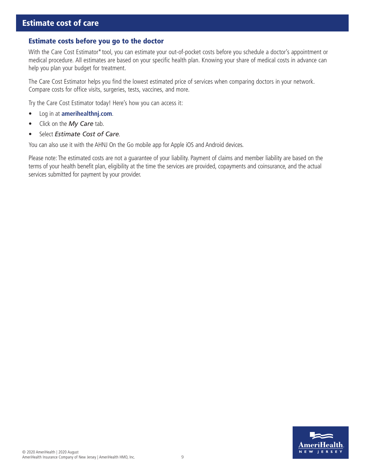## Estimate costs before you go to the doctor

With the Care Cost Estimator\* tool, you can estimate your out-of-pocket costs before you schedule a doctor's appointment or medical procedure. All estimates are based on your specific health plan. Knowing your share of medical costs in advance can help you plan your budget for treatment.

The Care Cost Estimator helps you find the lowest estimated price of services when comparing doctors in your network. Compare costs for office visits, surgeries, tests, vaccines, and more.

Try the Care Cost Estimator today! Here's how you can access it:

- Log in at **amerihealthnj.com**.
- Click on the *My Care* tab.
- Select *Estimate Cost of Care*.

You can also use it with the AHNJ On the Go mobile app for Apple iOS and Android devices.

Please note: The estimated costs are not a guarantee of your liability. Payment of claims and member liability are based on the terms of your health benefit plan, eligibility at the time the services are provided, copayments and coinsurance, and the actual services submitted for payment by your provider.

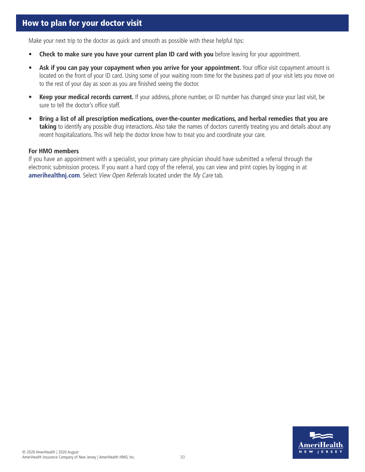Make your next trip to the doctor as quick and smooth as possible with these helpful tips:

- **Check to make sure you have your current plan ID card with you** before leaving for your appointment.
- **Ask if you can pay your copayment when you arrive for your appointment.** Your office visit copayment amount is located on the front of your ID card. Using some of your waiting room time for the business part of your visit lets you move on to the rest of your day as soon as you are finished seeing the doctor.
- **Keep your medical records current.** If your address, phone number, or ID number has changed since your last visit, be sure to tell the doctor's office staff.
- **Bring a list of all prescription medications, over-the-counter medications, and herbal remedies that you are taking** to identify any possible drug interactions. Also take the names of doctors currently treating you and details about any recent hospitalizations. This will help the doctor know how to treat you and coordinate your care.

#### **For HMO members**

If you have an appointment with a specialist, your primary care physician should have submitted a referral through the electronic submission process. If you want a hard copy of the referral, you can view and print copies by logging in at **amerihealthnj.com**. Select View Open Referrals located under the My Care tab.

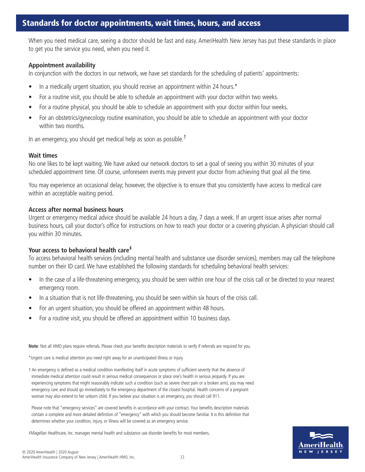## Standards for doctor appointments, wait times, hours, and access

When you need medical care, seeing a doctor should be fast and easy. AmeriHealth New Jersey has put these standards in place to get you the service you need, when you need it.

### **Appointment availability**

In conjunction with the doctors in our network, we have set standards for the scheduling of patients' appointments:

- In a medically urgent situation, you should receive an appointment within 24 hours.\*
- For a routine visit, you should be able to schedule an appointment with your doctor within two weeks.
- For a routine physical, you should be able to schedule an appointment with your doctor within four weeks.
- For an obstetrics/gynecology routine examination, you should be able to schedule an appointment with your doctor within two months.

In an emergency, you should get medical help as soon as possible.<sup>†</sup>

#### **Wait times**

No one likes to be kept waiting. We have asked our network doctors to set a goal of seeing you within 30 minutes of your scheduled appointment time. Of course, unforeseen events may prevent your doctor from achieving that goal all the time.

You may experience an occasional delay; however, the objective is to ensure that you consistently have access to medical care within an acceptable waiting period.

#### **Access after normal business hours**

Urgent or emergency medical advice should be available 24 hours a day, 7 days a week. If an urgent issue arises after normal business hours, call your doctor's office for instructions on how to reach your doctor or a covering physician. A physician should call you within 30 minutes.

## **Your access to behavioral health care‡**

To access behavioral health services (including mental health and substance use disorder services), members may call the telephone number on their ID card. We have established the following standards for scheduling behavioral health services:

- In the case of a life-threatening emergency, you should be seen within one hour of the crisis call or be directed to your nearest emergency room.
- In a situation that is not life-threatening, you should be seen within six hours of the crisis call.
- For an urgent situation, you should be offered an appointment within 48 hours.
- For a routine visit, you should be offered an appointment within 10 business days.

**Note**: Not all HMO plans require referrals. Please check your benefits description materials to verify if referrals are required for you.

\*Urgent care is medical attention you need right away for an unanticipated illness or injury

† An emergency is defined as a medical condition manifesting itself in acute symptoms of sufficient severity that the absence of immediate medical attention could result in serious medical consequences or place one's health in serious jeopardy. If you are experiencing symptoms that might reasonably indicate such a condition (such as severe chest pain or a broken arm), you may need emergency care and should go immediately to the emergency department of the closest hospital. Health concerns of a pregnant woman may also extend to her unborn child. If you believe your situation is an emergency, you should call 911.

Please note that "emergency services" are covered benefits in accordance with your contract. Your benefits description materials contain a complete and more detailed definition of "emergency" with which you should become familiar. It is this definition that determines whether your condition, injury, or illness will be covered as an emergency service.



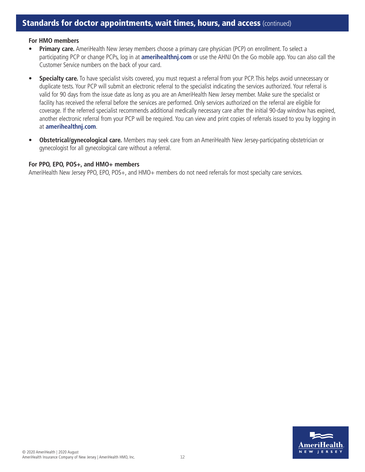#### **For HMO members**

- **• Primary care.** AmeriHealth New Jersey members choose a primary care physician (PCP) on enrollment. To select a participating PCP or change PCPs, log in at **amerihealthnj.com** or use the AHNJ On the Go mobile app. You can also call the Customer Service numbers on the back of your card.
- **• Specialty care.** To have specialist visits covered, you must request a referral from your PCP. This helps avoid unnecessary or duplicate tests. Your PCP will submit an electronic referral to the specialist indicating the services authorized. Your referral is valid for 90 days from the issue date as long as you are an AmeriHealth New Jersey member. Make sure the specialist or facility has received the referral before the services are performed. Only services authorized on the referral are eligible for coverage. If the referred specialist recommends additional medically necessary care after the initial 90-day window has expired, another electronic referral from your PCP will be required. You can view and print copies of referrals issued to you by logging in at **amerihealthnj.com**.
- **• Obstetrical/gynecological care.** Members may seek care from an AmeriHealth New Jersey-participating obstetrician or gynecologist for all gynecological care without a referral.

#### **For PPO, EPO, POS+, and HMO+ members**

AmeriHealth New Jersey PPO, EPO, POS+, and HMO+ members do not need referrals for most specialty care services.

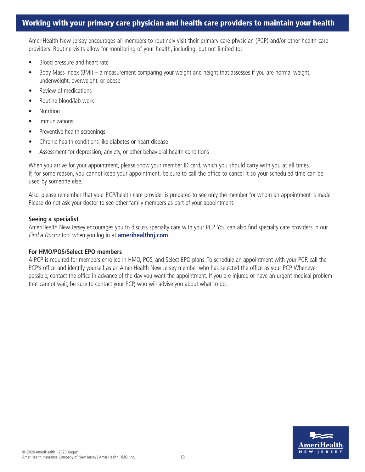## Working with your primary care physician and health care providers to maintain your health

AmeriHealth New Jersey encourages all members to routinely visit their primary care physician (PCP) and/or other health care providers. Routine visits allow for monitoring of your health, including, but not limited to:

- Blood pressure and heart rate
- Body Mass Index (BMI) a measurement comparing your weight and height that assesses if you are normal weight, underweight, overweight, or obese
- Review of medications
- Routine blood/lab work
- Nutrition
- Immunizations
- Preventive health screenings
- Chronic health conditions like diabetes or heart disease
- Assessment for depression, anxiety, or other behavioral health conditions

When you arrive for your appointment, please show your member ID card, which you should carry with you at all times. If, for some reason, you cannot keep your appointment, be sure to call the office to cancel it so your scheduled time can be used by someone else.

Also, please remember that your PCP/health care provider is prepared to see only the member for whom an appointment is made. Please do not ask your doctor to see other family members as part of your appointment.

#### **Seeing a specialist**

AmeriHealth New Jersey encourages you to discuss specialty care with your PCP. You can also find specialty care providers in our Find a Doctor tool when you log in at **amerihealthnj.com**.

#### **For HMO/POS/Select EPO members**

A PCP is required for members enrolled in HMO, POS, and Select EPO plans. To schedule an appointment with your PCP, call the PCP's office and identify yourself as an AmeriHealth New Jersey member who has selected the office as your PCP. Whenever possible, contact the office in advance of the day you want the appointment. If you are injured or have an urgent medical problem that cannot wait, be sure to contact your PCP, who will advise you about what to do.

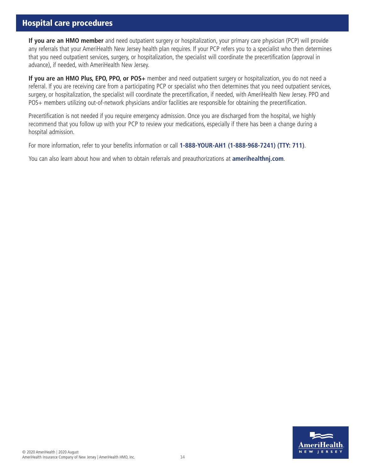# Hospital care procedures

**If you are an HMO member** and need outpatient surgery or hospitalization, your primary care physician (PCP) will provide any referrals that your AmeriHealth New Jersey health plan requires. If your PCP refers you to a specialist who then determines that you need outpatient services, surgery, or hospitalization, the specialist will coordinate the precertification (approval in advance), if needed, with AmeriHealth New Jersey.

**If you are an HMO Plus, EPO, PPO, or POS+** member and need outpatient surgery or hospitalization, you do not need a referral. If you are receiving care from a participating PCP or specialist who then determines that you need outpatient services, surgery, or hospitalization, the specialist will coordinate the precertification, if needed, with AmeriHealth New Jersey. PPO and POS+ members utilizing out-of-network physicians and/or facilities are responsible for obtaining the precertification.

Precertification is not needed if you require emergency admission. Once you are discharged from the hospital, we highly recommend that you follow up with your PCP to review your medications, especially if there has been a change during a hospital admission.

For more information, refer to your benefits information or call **1-888-YOUR-AH1 (1-888-968-7241) (TTY: 711)**.

You can also learn about how and when to obtain referrals and preauthorizations at **amerihealthnj.com**.

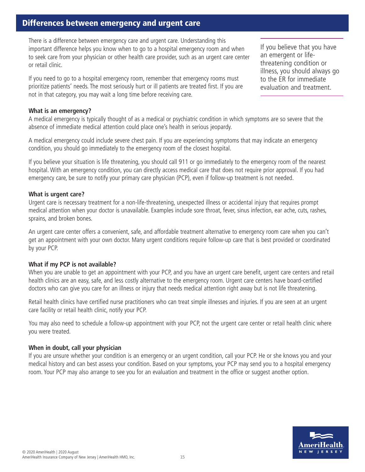# Differences between emergency and urgent care

There is a difference between emergency care and urgent care. Understanding this important difference helps you know when to go to a hospital emergency room and when to seek care from your physician or other health care provider, such as an urgent care center or retail clinic.

If you need to go to a hospital emergency room, remember that emergency rooms must prioritize patients' needs. The most seriously hurt or ill patients are treated first. If you are not in that category, you may wait a long time before receiving care.

If you believe that you have an emergent or lifethreatening condition or illness, you should always go to the ER for immediate evaluation and treatment.

#### **What is an emergency?**

A medical emergency is typically thought of as a medical or psychiatric condition in which symptoms are so severe that the absence of immediate medical attention could place one's health in serious jeopardy.

A medical emergency could include severe chest pain. If you are experiencing symptoms that may indicate an emergency condition, you should go immediately to the emergency room of the closest hospital.

If you believe your situation is life threatening, you should call 911 or go immediately to the emergency room of the nearest hospital. With an emergency condition, you can directly access medical care that does not require prior approval. If you had emergency care, be sure to notify your primary care physician (PCP), even if follow-up treatment is not needed.

#### **What is urgent care?**

Urgent care is necessary treatment for a non-life-threatening, unexpected illness or accidental injury that requires prompt medical attention when your doctor is unavailable. Examples include sore throat, fever, sinus infection, ear ache, cuts, rashes, sprains, and broken bones.

An urgent care center offers a convenient, safe, and affordable treatment alternative to emergency room care when you can't get an appointment with your own doctor. Many urgent conditions require follow-up care that is best provided or coordinated by your PCP.

#### **What if my PCP is not available?**

When you are unable to get an appointment with your PCP, and you have an urgent care benefit, urgent care centers and retail health clinics are an easy, safe, and less costly alternative to the emergency room. Urgent care centers have board-certified doctors who can give you care for an illness or injury that needs medical attention right away but is not life threatening.

Retail health clinics have certified nurse practitioners who can treat simple illnesses and injuries. If you are seen at an urgent care facility or retail health clinic, notify your PCP.

You may also need to schedule a follow-up appointment with your PCP, not the urgent care center or retail health clinic where you were treated.

#### **When in doubt, call your physician**

If you are unsure whether your condition is an emergency or an urgent condition, call your PCP. He or she knows you and your medical history and can best assess your condition. Based on your symptoms, your PCP may send you to a hospital emergency room. Your PCP may also arrange to see you for an evaluation and treatment in the office or suggest another option.

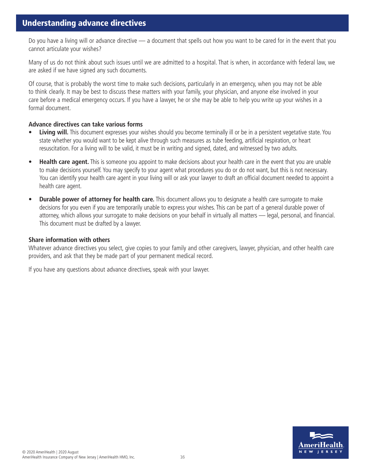Do you have a living will or advance directive — a document that spells out how you want to be cared for in the event that you cannot articulate your wishes?

Many of us do not think about such issues until we are admitted to a hospital. That is when, in accordance with federal law, we are asked if we have signed any such documents.

Of course, that is probably the worst time to make such decisions, particularly in an emergency, when you may not be able to think clearly. It may be best to discuss these matters with your family, your physician, and anyone else involved in your care before a medical emergency occurs. If you have a lawyer, he or she may be able to help you write up your wishes in a formal document.

## **Advance directives can take various forms**

- **• Living will.** This document expresses your wishes should you become terminally ill or be in a persistent vegetative state. You state whether you would want to be kept alive through such measures as tube feeding, artificial respiration, or heart resuscitation. For a living will to be valid, it must be in writing and signed, dated, and witnessed by two adults.
- **• Health care agent.** This is someone you appoint to make decisions about your health care in the event that you are unable to make decisions yourself. You may specify to your agent what procedures you do or do not want, but this is not necessary. You can identify your health care agent in your living will or ask your lawyer to draft an official document needed to appoint a health care agent.
- **• Durable power of attorney for health care.** This document allows you to designate a health care surrogate to make decisions for you even if you are temporarily unable to express your wishes. This can be part of a general durable power of attorney, which allows your surrogate to make decisions on your behalf in virtually all matters — legal, personal, and financial. This document must be drafted by a lawyer.

#### **Share information with others**

Whatever advance directives you select, give copies to your family and other caregivers, lawyer, physician, and other health care providers, and ask that they be made part of your permanent medical record.

If you have any questions about advance directives, speak with your lawyer.

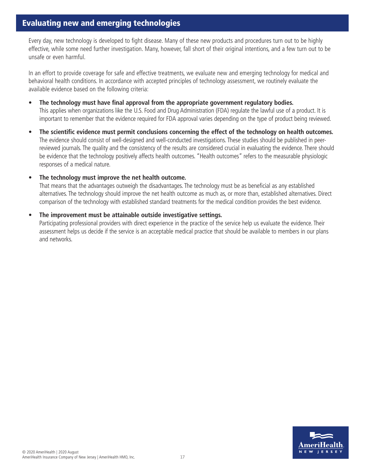## Evaluating new and emerging technologies

Every day, new technology is developed to fight disease. Many of these new products and procedures turn out to be highly effective, while some need further investigation. Many, however, fall short of their original intentions, and a few turn out to be unsafe or even harmful.

In an effort to provide coverage for safe and effective treatments, we evaluate new and emerging technology for medical and behavioral health conditions. In accordance with accepted principles of technology assessment, we routinely evaluate the available evidence based on the following criteria:

- **• The technology must have final approval from the appropriate government regulatory bodies.**  This applies when organizations like the U.S. Food and Drug Administration (FDA) regulate the lawful use of a product. It is important to remember that the evidence required for FDA approval varies depending on the type of product being reviewed.
- **• The scientific evidence must permit conclusions concerning the effect of the technology on health outcomes.**  The evidence should consist of well-designed and well-conducted investigations. These studies should be published in peerreviewed journals. The quality and the consistency of the results are considered crucial in evaluating the evidence. There should be evidence that the technology positively affects health outcomes. "Health outcomes" refers to the measurable physiologic responses of a medical nature.

#### **• The technology must improve the net health outcome.**

That means that the advantages outweigh the disadvantages. The technology must be as beneficial as any established alternatives. The technology should improve the net health outcome as much as, or more than, established alternatives. Direct comparison of the technology with established standard treatments for the medical condition provides the best evidence.

#### **• The improvement must be attainable outside investigative settings.**

Participating professional providers with direct experience in the practice of the service help us evaluate the evidence. Their assessment helps us decide if the service is an acceptable medical practice that should be available to members in our plans and networks.

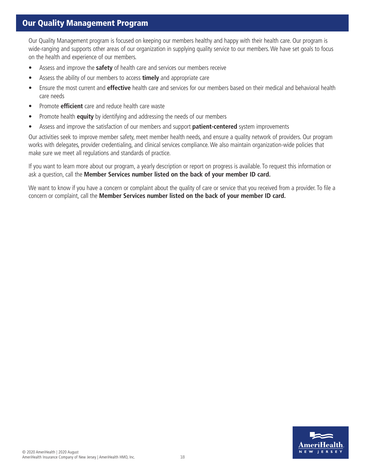# Our Quality Management Program

Our Quality Management program is focused on keeping our members healthy and happy with their health care. Our program is wide-ranging and supports other areas of our organization in supplying quality service to our members. We have set goals to focus on the health and experience of our members.

- Assess and improve the **safety** of health care and services our members receive
- Assess the ability of our members to access **timely** and appropriate care
- Ensure the most current and **effective** health care and services for our members based on their medical and behavioral health care needs
- Promote **efficient** care and reduce health care waste
- Promote health **equity** by identifying and addressing the needs of our members
- Assess and improve the satisfaction of our members and support **patient-centered** system improvements

Our activities seek to improve member safety, meet member health needs, and ensure a quality network of providers. Our program works with delegates, provider credentialing, and clinical services compliance. We also maintain organization-wide policies that make sure we meet all regulations and standards of practice.

If you want to learn more about our program, a yearly description or report on progress is available. To request this information or ask a question, call the **Member Services number listed on the back of your member ID card.**

We want to know if you have a concern or complaint about the quality of care or service that you received from a provider. To file a concern or complaint, call the **Member Services number listed on the back of your member ID card.**

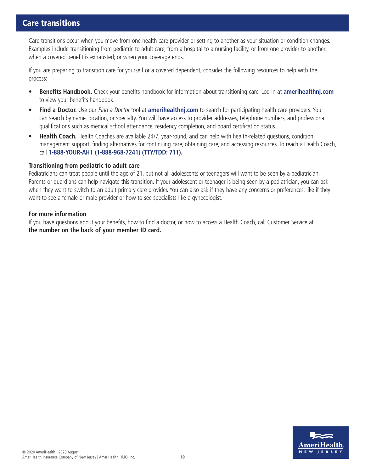## Care transitions

Care transitions occur when you move from one health care provider or setting to another as your situation or condition changes. Examples include transitioning from pediatric to adult care, from a hospital to a nursing facility, or from one provider to another; when a covered benefit is exhausted; or when your coverage ends.

If you are preparing to transition care for yourself or a covered dependent, consider the following resources to help with the process:

- **• Benefits Handbook.** Check your benefits handbook for information about transitioning care. Log in at **amerihealthnj.com** to view your benefits handbook.
- **• Find a Doctor.** Use our Find a Doctor tool at **amerihealthnj.com** to search for participating health care providers. You can search by name, location, or specialty. You will have access to provider addresses, telephone numbers, and professional qualifications such as medical school attendance, residency completion, and board certification status.
- **• Health Coach.** Health Coaches are available 24/7, year-round, and can help with health-related questions, condition management support, finding alternatives for continuing care, obtaining care, and accessing resources. To reach a Health Coach, call **1-888-YOUR-AH1 (1-888-968-7241) (TTY/TDD: 711).**

#### **Transitioning from pediatric to adult care**

Pediatricians can treat people until the age of 21, but not all adolescents or teenagers will want to be seen by a pediatrician. Parents or guardians can help navigate this transition. If your adolescent or teenager is being seen by a pediatrician, you can ask when they want to switch to an adult primary care provider. You can also ask if they have any concerns or preferences, like if they want to see a female or male provider or how to see specialists like a gynecologist.

#### **For more information**

If you have questions about your benefits, how to find a doctor, or how to access a Health Coach, call Customer Service at **the number on the back of your member ID card.**

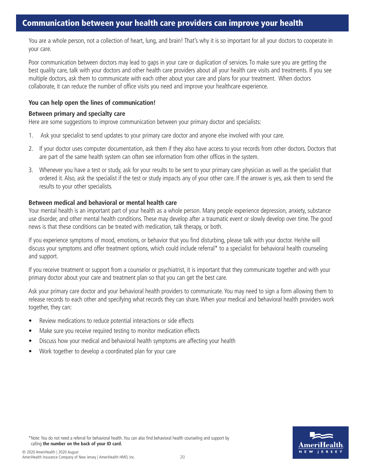## Communication between your health care providers can improve your health

You are a whole person, not a collection of heart, lung, and brain! That's why it is so important for all your doctors to cooperate in your care.

Poor communication between doctors may lead to gaps in your care or duplication of services. To make sure you are getting the best quality care, talk with your doctors and other health care providers about all your health care visits and treatments. If you see multiple doctors, ask them to communicate with each other about your care and plans for your treatment. When doctors collaborate, it can reduce the number of office visits you need and improve your healthcare experience.

#### **You can help open the lines of communication!**

#### **Between primary and specialty care**

Here are some suggestions to improve communication between your primary doctor and specialists:

- 1. Ask your specialist to send updates to your primary care doctor and anyone else involved with your care.
- 2. If your doctor uses computer documentation, ask them if they also have access to your records from other doctors. Doctors that are part of the same health system can often see information from other offices in the system.
- 3. Whenever you have a test or study, ask for your results to be sent to your primary care physician as well as the specialist that ordered it. Also, ask the specialist if the test or study impacts any of your other care. If the answer is yes, ask them to send the results to your other specialists.

#### **Between medical and behavioral or mental health care**

Your mental health is an important part of your health as a whole person. Many people experience depression, anxiety, substance use disorder, and other mental health conditions. These may develop after a traumatic event or slowly develop over time. The good news is that these conditions can be treated with medication, talk therapy, or both.

If you experience symptoms of mood, emotions, or behavior that you find disturbing, please talk with your doctor. He/she will discuss your symptoms and offer treatment options, which could include referral\* to a specialist for behavioral health counseling and support.

If you receive treatment or support from a counselor or psychiatrist, it is important that they communicate together and with your primary doctor about your care and treatment plan so that you can get the best care.

Ask your primary care doctor and your behavioral health providers to communicate. You may need to sign a form allowing them to release records to each other and specifying what records they can share. When your medical and behavioral health providers work together, they can:

- Review medications to reduce potential interactions or side effects
- Make sure you receive required testing to monitor medication effects
- Discuss how your medical and behavioral health symptoms are affecting your health
- Work together to develop a coordinated plan for your care



\*Note: You do not need a referral for behavioral health. You can also find behavioral health counseling and support by calling **the number on the back of your ID card.**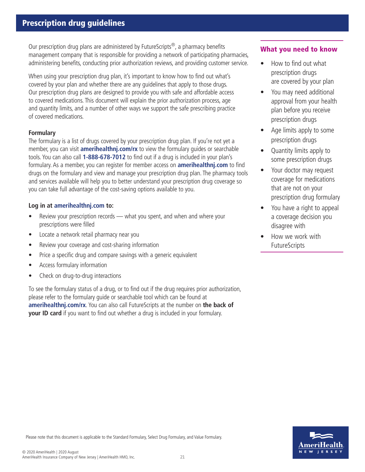Our prescription drug plans are administered by FutureScripts<sup>®</sup>, a pharmacy benefits management company that is responsible for providing a network of participating pharmacies, administering benefits, conducting prior authorization reviews, and providing customer service.

When using your prescription drug plan, it's important to know how to find out what's covered by your plan and whether there are any guidelines that apply to those drugs. Our prescription drug plans are designed to provide you with safe and affordable access to covered medications. This document will explain the prior authorization process, age and quantity limits, and a number of other ways we support the safe prescribing practice of covered medications.

## **Formulary**

The formulary is a list of drugs covered by your prescription drug plan. If you're not yet a member, you can visit **amerihealthnj.com/rx** to view the formulary guides or searchable tools. You can also call **1-888-678-7012** to find out if a drug is included in your plan's formulary. As a member, you can register for member access on **amerihealthnj.com** to find drugs on the formulary and view and manage your prescription drug plan. The pharmacy tools and services available will help you to better understand your prescription drug coverage so you can take full advantage of the cost-saving options available to you.

## **Log in at amerihealthnj.com to:**

- Review your prescription records what you spent, and when and where your prescriptions were filled
- Locate a network retail pharmacy near you
- Review your coverage and cost-sharing information
- Price a specific drug and compare savings with a generic equivalent
- Access formulary information
- Check on drug-to-drug interactions

To see the formulary status of a drug, or to find out if the drug requires prior authorization, please refer to the formulary guide or searchable tool which can be found at **amerihealthnj.com/rx**. You can also call FutureScripts at the number on **the back of your ID card** if you want to find out whether a drug is included in your formulary.

## What you need to know

- How to find out what prescription drugs are covered by your plan
- You may need additional approval from your health plan before you receive prescription drugs
- Age limits apply to some prescription drugs
- Quantity limits apply to some prescription drugs
- Your doctor may request coverage for medications that are not on your prescription drug formulary
- You have a right to appeal a coverage decision you disagree with
- How we work with FutureScripts



Please note that this document is applicable to the Standard Formulary, Select Drug Formulary, and Value Formulary.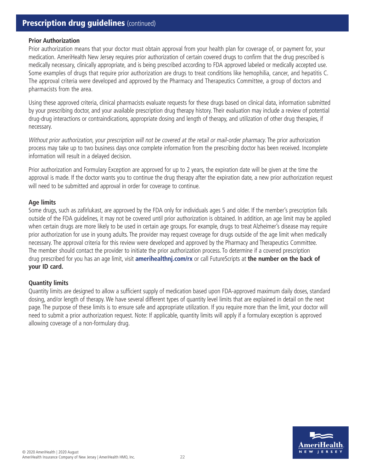# **Prescription drug guidelines (continued)**

#### **Prior Authorization**

Prior authorization means that your doctor must obtain approval from your health plan for coverage of, or payment for, your medication. AmeriHealth New Jersey requires prior authorization of certain covered drugs to confirm that the drug prescribed is medically necessary, clinically appropriate, and is being prescribed according to FDA approved labeled or medically accepted use. Some examples of drugs that require prior authorization are drugs to treat conditions like hemophilia, cancer, and hepatitis C. The approval criteria were developed and approved by the Pharmacy and Therapeutics Committee, a group of doctors and pharmacists from the area.

Using these approved criteria, clinical pharmacists evaluate requests for these drugs based on clinical data, information submitted by your prescribing doctor, and your available prescription drug therapy history. Their evaluation may include a review of potential drug-drug interactions or contraindications, appropriate dosing and length of therapy, and utilization of other drug therapies, if necessary.

Without prior authorization, your prescription will not be covered at the retail or mail-order pharmacy. The prior authorization process may take up to two business days once complete information from the prescribing doctor has been received. Incomplete information will result in a delayed decision.

Prior authorization and Formulary Exception are approved for up to 2 years, the expiration date will be given at the time the approval is made. If the doctor wants you to continue the drug therapy after the expiration date, a new prior authorization request will need to be submitted and approval in order for coverage to continue.

#### **Age limits**

Some drugs, such as zafirlukast, are approved by the FDA only for individuals ages 5 and older. If the member's prescription falls outside of the FDA guidelines, it may not be covered until prior authorization is obtained. In addition, an age limit may be applied when certain drugs are more likely to be used in certain age groups. For example, drugs to treat Alzheimer's disease may require prior authorization for use in young adults. The provider may request coverage for drugs outside of the age limit when medically necessary. The approval criteria for this review were developed and approved by the Pharmacy and Therapeutics Committee. The member should contact the provider to initiate the prior authorization process. To determine if a covered prescription drug prescribed for you has an age limit, visit **amerihealthnj.com/rx** or call FutureScripts at **the number on the back of your ID card.**

#### **Quantity limits**

Quantity limits are designed to allow a sufficient supply of medication based upon FDA-approved maximum daily doses, standard dosing, and/or length of therapy. We have several different types of quantity level limits that are explained in detail on the next page. The purpose of these limits is to ensure safe and appropriate utilization. If you require more than the limit, your doctor will need to submit a prior authorization request. Note: If applicable, quantity limits will apply if a formulary exception is approved allowing coverage of a non-formulary drug.

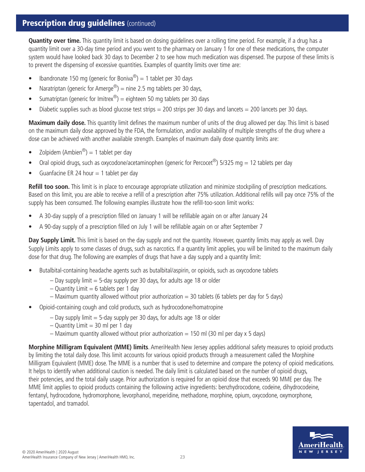# **Prescription drug guidelines** (continued)

**Quantity over time.** This quantity limit is based on dosing guidelines over a rolling time period. For example, if a drug has a quantity limit over a 30-day time period and you went to the pharmacy on January 1 for one of these medications, the computer system would have looked back 30 days to December 2 to see how much medication was dispensed. The purpose of these limits is to prevent the dispensing of excessive quantities. Examples of quantity limits over time are:

- Ibandronate 150 mg (generic for Boniva<sup>®</sup>) = 1 tablet per 30 days
- Naratriptan (generic for Amerge<sup>®</sup>) = nine 2.5 mg tablets per 30 days,
- Sumatriptan (generic for Imitrex<sup>®</sup>) = eighteen 50 mg tablets per 30 days
- Diabetic supplies such as blood glucose test strips = 200 strips per 30 days and lancets = 200 lancets per 30 days.

**Maximum daily dose.** This quantity limit defines the maximum number of units of the drug allowed per day. This limit is based on the maximum daily dose approved by the FDA, the formulation, and/or availability of multiple strengths of the drug where a dose can be achieved with another available strength. Examples of maximum daily dose quantity limits are:

- Zolpidem (Ambien®) = 1 tablet per day
- Oral opioid drugs, such as oxycodone/acetaminophen (generic for Percocet®) 5/325 mg = 12 tablets per day
- Guanfacine ER 24 hour  $= 1$  tablet per day

**Refill too soon.** This limit is in place to encourage appropriate utilization and minimize stockpiling of prescription medications. Based on this limit, you are able to receive a refill of a prescription after 75% utilization. Additional refills will pay once 75% of the supply has been consumed. The following examples illustrate how the refill-too-soon limit works:

- A 30-day supply of a prescription filled on January 1 will be refillable again on or after January 24
- A 90-day supply of a prescription filled on July 1 will be refillable again on or after September 7

**Day Supply Limit.** This limit is based on the day supply and not the quantity. However, quantity limits may apply as well. Day Supply Limits apply to some classes of drugs, such as narcotics. If a quantity limit applies, you will be limited to the maximum daily dose for that drug. The following are examples of drugs that have a day supply and a quantity limit:

- Butalbital-containing headache agents such as butalbital/aspirin, or opioids, such as oxycodone tablets
	- $-$  Day supply limit  $=$  5-day supply per 30 days, for adults age 18 or older
	- $-$  Quantity Limit = 6 tablets per 1 day
	- $-$  Maximum quantity allowed without prior authorization  $=$  30 tablets (6 tablets per day for 5 days)
- Opioid-containing cough and cold products, such as hydrocodone/homatropine
	- $-$  Day supply limit  $=$  5-day supply per 30 days, for adults age 18 or older
	- $-$  Quantity Limit  $=$  30 ml per 1 day
	- $-$  Maximum quantity allowed without prior authorization  $=$  150 ml (30 ml per day x 5 days)

**Morphine Milligram Equivalent (MME) limits**. AmeriHealth New Jersey applies additional safety measures to opioid products by limiting the total daily dose. This limit accounts for various opioid products through a measurement called the Morphine Milligram Equivalent (MME) dose. The MME is a number that is used to determine and compare the potency of opioid medications. It helps to identify when additional caution is needed. The daily limit is calculated based on the number of opioid drugs, their potencies, and the total daily usage. Prior authorization is required for an opioid dose that exceeds 90 MME per day. The MME limit applies to opioid products containing the following active ingredients: benzhydrocodone, codeine, dihydrocodeine, fentanyl, hydrocodone, hydromorphone, levorphanol, meperidine, methadone, morphine, opium, oxycodone, oxymorphone, tapentadol, and tramadol.

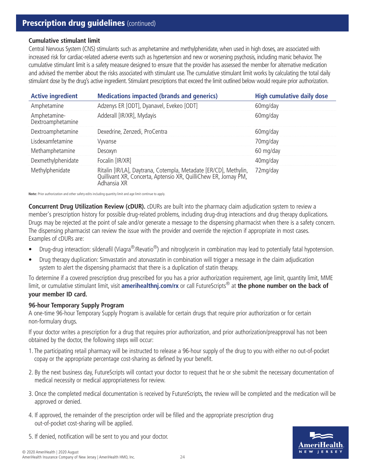# **Prescription drug guidelines** (continued)

### **Cumulative stimulant limit**

Central Nervous System (CNS) stimulants such as amphetamine and methylphenidate, when used in high doses, are associated with increased risk for cardiac-related adverse events such as hypertension and new or worsening psychosis, including manic behavior. The cumulative stimulant limit is a safety measure designed to ensure that the provider has assessed the member for alternative medication and advised the member about the risks associated with stimulant use. The cumulative stimulant limit works by calculating the total daily stimulant dose by the drug's active ingredient. Stimulant prescriptions that exceed the limit outlined below would require prior authorization.

| <b>Active ingredient</b>          | <b>Medications impacted (brands and generics)</b>                                                                                               | <b>High cumulative daily dose</b> |
|-----------------------------------|-------------------------------------------------------------------------------------------------------------------------------------------------|-----------------------------------|
| Amphetamine                       | Adzenys ER [ODT], Dyanavel, Evekeo [ODT]                                                                                                        | 60mg/day                          |
| Amphetamine-<br>Dextroamphetamine | Adderall [IR/XR], Mydayis                                                                                                                       | 60mg/day                          |
| Dextroamphetamine                 | Dexedrine, Zenzedi, ProCentra                                                                                                                   | 60mg/day                          |
| Lisdexamfetamine                  | Vyvanse                                                                                                                                         | 70mg/day                          |
| Methamphetamine                   | Desoxyn                                                                                                                                         | 60 mg/day                         |
| Dexmethylphenidate                | Focalin [IR/XR]                                                                                                                                 | 40mg/day                          |
| Methylphenidate                   | Ritalin [IR/LA], Daytrana, Cotempla, Metadate [ER/CD], Methylin, Quillivant XR, Concerta, Aptensio XR, QuilliChew ER, Jornay PM,<br>Adhansia XR | 72mg/day                          |

**Note:** Prior authorization and other safety edits including quantity limit and age limit continue to apply.

**Concurrent Drug Utilization Review (cDUR).** cDURs are built into the pharmacy claim adjudication system to review a member's prescription history for possible drug-related problems, including drug-drug interactions and drug therapy duplications. Drugs may be rejected at the point of sale and/or generate a message to the dispensing pharmacist when there is a safety concern. The dispensing pharmacist can review the issue with the provider and override the rejection if appropriate in most cases. Examples of cDURs are:

- Drug-drug interaction: sildenafil (Viagra<sup>®</sup>/Revatio<sup>®</sup>) and nitroglycerin in combination may lead to potentially fatal hypotension.
- Drug therapy duplication: Simvastatin and atorvastatin in combination will trigger a message in the claim adjudication system to alert the dispensing pharmacist that there is a duplication of statin therapy.

To determine if a covered prescription drug prescribed for you has a prior authorization requirement, age limit, quantity limit, MME limit, or cumulative stimulant limit, visit **amerihealthnj.com/rx** or call FutureScripts® at **the phone number on the back of your member ID card.**

## **96-hour Temporary Supply Program**

A one-time 96-hour Temporary Supply Program is available for certain drugs that require prior authorization or for certain non-formulary drugs.

If your doctor writes a prescription for a drug that requires prior authorization, and prior authorization/preapproval has not been obtained by the doctor, the following steps will occur:

- 1. The participating retail pharmacy will be instructed to release a 96-hour supply of the drug to you with either no out-of-pocket copay or the appropriate percentage cost-sharing as defined by your benefit.
- 2. By the next business day, FutureScripts will contact your doctor to request that he or she submit the necessary documentation of medical necessity or medical appropriateness for review.
- 3. Once the completed medical documentation is received by FutureScripts, the review will be completed and the medication will be approved or denied.
- 4. If approved, the remainder of the prescription order will be filled and the appropriate prescription drug out-of-pocket cost-sharing will be applied.
- 5. If denied, notification will be sent to you and your doctor.

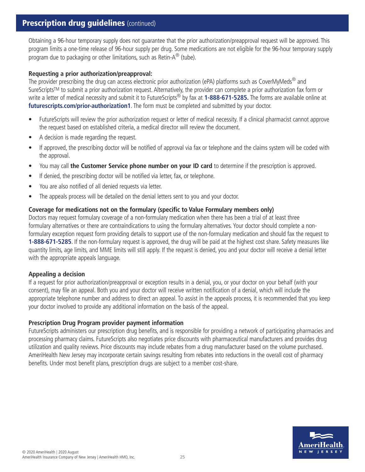# **Prescription drug quidelines** (continued)

Obtaining a 96-hour temporary supply does not guarantee that the prior authorization/preapproval request will be approved. This program limits a one-time release of 96-hour supply per drug. Some medications are not eligible for the 96-hour temporary supply program due to packaging or other limitations, such as Retin-A® (tube).

## **Requesting a prior authorization/preapproval:**

The provider prescribing the drug can access electronic prior authorization (ePA) platforms such as CoverMyMeds<sup>®</sup> and SureScripts™ to submit a prior authorization request. Alternatively, the provider can complete a prior authorization fax form or write a letter of medical necessity and submit it to FutureScripts® by fax at **1-888-671-5285.** The forms are available online at **futurescripts.com/prior-authorization1**. The form must be completed and submitted by your doctor.

- FutureScripts will review the prior authorization request or letter of medical necessity. If a clinical pharmacist cannot approve the request based on established criteria, a medical director will review the document.
- A decision is made regarding the request.
- If approved, the prescribing doctor will be notified of approval via fax or telephone and the claims system will be coded with the approval.
- You may call **the Customer Service phone number on your ID card** to determine if the prescription is approved.
- If denied, the prescribing doctor will be notified via letter, fax, or telephone.
- You are also notified of all denied requests via letter.
- The appeals process will be detailed on the denial letters sent to you and your doctor.

## **Coverage for medications not on the formulary (specific to Value Formulary members only)**

Doctors may request formulary coverage of a non-formulary medication when there has been a trial of at least three formulary alternatives or there are contraindications to using the formulary alternatives. Your doctor should complete a nonformulary exception request form providing details to support use of the non-formulary medication and should fax the request to **1-888-671-5285**. If the non-formulary request is approved, the drug will be paid at the highest cost share. Safety measures like quantity limits, age limits, and MME limits will still apply. If the request is denied, you and your doctor will receive a denial letter with the appropriate appeals language.

## **Appealing a decision**

If a request for prior authorization/preapproval or exception results in a denial, you, or your doctor on your behalf (with your consent), may file an appeal. Both you and your doctor will receive written notification of a denial, which will include the appropriate telephone number and address to direct an appeal. To assist in the appeals process, it is recommended that you keep your doctor involved to provide any additional information on the basis of the appeal.

## **Prescription Drug Program provider payment information**

FutureScripts administers our prescription drug benefits, and is responsible for providing a network of participating pharmacies and processing pharmacy claims. FutureScripts also negotiates price discounts with pharmaceutical manufacturers and provides drug utilization and quality reviews. Price discounts may include rebates from a drug manufacturer based on the volume purchased. AmeriHealth New Jersey may incorporate certain savings resulting from rebates into reductions in the overall cost of pharmacy benefits. Under most benefit plans, prescription drugs are subject to a member cost-share.

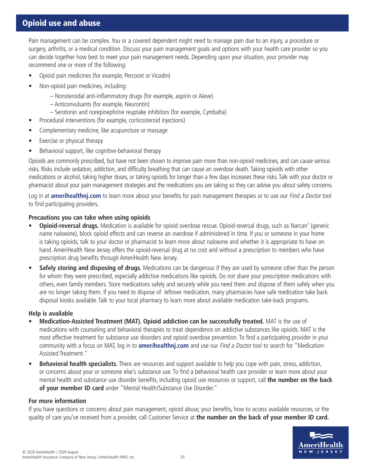# Opioid use and abuse

Pain management can be complex. You or a covered dependent might need to manage pain due to an injury, a procedure or surgery, arthritis, or a medical condition. Discuss your pain management goals and options with your health care provider so you can decide together how best to meet your pain management needs. Depending upon your situation, your provider may recommend one or more of the following:

- Opioid pain medicines (for example, Percocet or Vicodin)
- Non-opioid pain medicines, including:
	- Nonsteroidal anti-inflammatory drugs (for example, aspirin or Aleve)
	- Anticonvulsants (for example, Neurontin)
	- Serotonin and norepinephrine reuptake inhibitors (for example, Cymbalta)
- Procedural interventions (for example, corticosteroid injections)
- Complementary medicine, like acupuncture or massage
- Exercise or physical therapy
- Behavioral support, like cognitive-behavioral therapy

Opioids are commonly prescribed, but have not been shown to improve pain more than non-opioid medicines, and can cause serious risks. Risks include sedation, addiction, and difficulty breathing that can cause an overdose death. Taking opioids with other medications or alcohol, taking higher doses, or taking opioids for longer than a few days increases these risks. Talk with your doctor or pharmacist about your pain management strategies and the medications you are taking so they can advise you about safety concerns.

Log in at **amerihealthnj.com** to learn more about your benefits for pain management therapies or to use our Find a Doctor tool to find participating providers.

## **Precautions you can take when using opioids**

- Opioid-reversal drugs. Medication is available for opioid overdose rescue. Opioid-reversal drugs, such as Narcan® (generic name naloxone), block opioid effects and can reverse an overdose if administered in time. If you or someone in your home is taking opioids, talk to your doctor or pharmacist to learn more about naloxone and whether it is appropriate to have on hand. AmeriHealth New Jersey offers the opioid-reversal drug at no cost and without a prescription to members who have prescription drug benefits through AmeriHealth New Jersey.
- **• Safely storing and disposing of drugs.** Medications can be dangerous if they are used by someone other than the person for whom they were prescribed, especially addictive medications like opioids. Do not share your prescription medications with others, even family members. Store medications safely and securely while you need them and dispose of them safely when you are no longer taking them. If you need to dispose of leftover medication, many pharmacies have safe medication take back disposal kiosks available. Talk to your local pharmacy to learn more about available medication take-back programs.

## **Help is available**

- **• Medication-Assisted Treatment (MAT). Opioid addiction can be successfully treated.** MAT is the use of medications with counseling and behavioral therapies to treat dependence on addictive substances like opioids. MAT is the most effective treatment for substance use disorders and opioid overdose prevention. To find a participating provider in your community with a focus on MAT, log in to **amerihealthnj.com** and use our Find a Doctor tool to search for "Medication-Assisted Treatment."
- **• Behavioral health specialists.** There are resources and support available to help you cope with pain, stress, addiction, or concerns about your or someone else's substance use. To find a behavioral health care provider or learn more about your mental health and substance use disorder benefits, including opioid use resources or support, call **the number on the back of your member ID card** under "Mental Health/Substance Use Disorder."

## **For more information**

If you have questions or concerns about pain management, opioid abuse, your benefits, how to access available resources, or the quality of care you've received from a provider, call Customer Service at **the number on the back of your member ID card.**

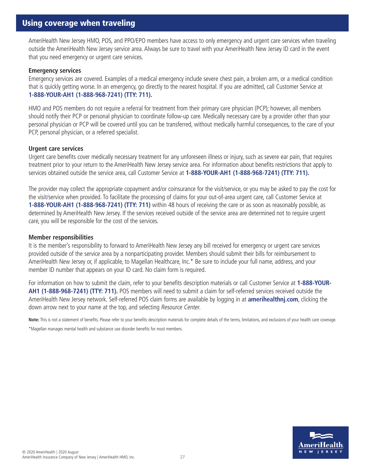AmeriHealth New Jersey HMO, POS, and PPO/EPO members have access to only emergency and urgent care services when traveling outside the AmeriHealth New Jersey service area. Always be sure to travel with your AmeriHealth New Jersey ID card in the event that you need emergency or urgent care services.

#### **Emergency services**

Emergency services are covered. Examples of a medical emergency include severe chest pain, a broken arm, or a medical condition that is quickly getting worse. In an emergency, go directly to the nearest hospital. If you are admitted, call Customer Service at **1-888-YOUR-AH1 (1-888-968-7241) (TTY: 711).**

HMO and POS members do not require a referral for treatment from their primary care physician (PCP); however, all members should notify their PCP or personal physician to coordinate follow-up care. Medically necessary care by a provider other than your personal physician or PCP will be covered until you can be transferred, without medically harmful consequences, to the care of your PCP, personal physician, or a referred specialist.

#### **Urgent care services**

Urgent care benefits cover medically necessary treatment for any unforeseen illness or injury, such as severe ear pain, that requires treatment prior to your return to the AmeriHealth New Jersey service area. For information about benefits restrictions that apply to services obtained outside the service area, call Customer Service at **1-888-YOUR-AH1 (1-888-968-7241) (TTY: 711).**

The provider may collect the appropriate copayment and/or coinsurance for the visit/service, or you may be asked to pay the cost for the visit/service when provided. To facilitate the processing of claims for your out-of-area urgent care, call Customer Service at **1-888-YOUR-AH1 (1-888-968-7241) (TTY: 711)** within 48 hours of receiving the care or as soon as reasonably possible, as determined by AmeriHealth New Jersey. If the services received outside of the service area are determined not to require urgent care, you will be responsible for the cost of the services.

#### **Member responsibilities**

It is the member's responsibility to forward to AmeriHealth New Jersey any bill received for emergency or urgent care services provided outside of the service area by a nonparticipating provider. Members should submit their bills for reimbursement to AmeriHealth New Jersey or, if applicable, to Magellan Healthcare, Inc.\* Be sure to include your full name, address, and your member ID number that appears on your ID card. No claim form is required.

For information on how to submit the claim, refer to your benefits description materials or call Customer Service at **1-888-YOUR-AH1 (1-888-968-7241) (TTY: 711).** POS members will need to submit a claim for self-referred services received outside the AmeriHealth New Jersey network. Self-referred POS claim forms are available by logging in at **amerihealthnj.com**, clicking the down arrow next to your name at the top, and selecting Resource Center.

Note: This is not a statement of benefits. Please refer to your benefits description materials for complete details of the terms, limitations, and exclusions of your health care coverage.

\*Magellan manages mental health and substance use disorder benefits for most members.

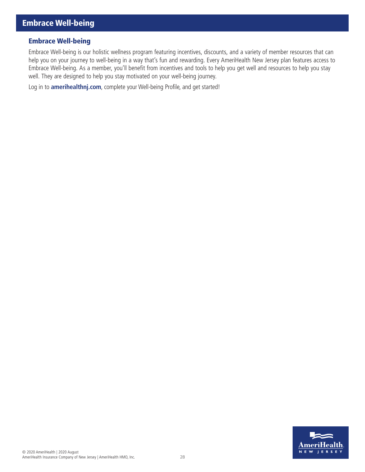## Embrace Well-being

Embrace Well-being is our holistic wellness program featuring incentives, discounts, and a variety of member resources that can help you on your journey to well-being in a way that's fun and rewarding. Every AmeriHealth New Jersey plan features access to Embrace Well-being. As a member, you'll benefit from incentives and tools to help you get well and resources to help you stay well. They are designed to help you stay motivated on your well-being journey.

Log in to **amerihealthnj.com**, complete your Well-being Profile, and get started!

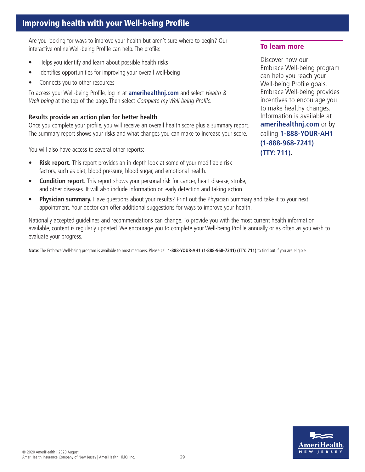# Improving health with your Well-being Profile

Are you looking for ways to improve your health but aren't sure where to begin? Our interactive online Well-being Profile can help. The profile:

- Helps you identify and learn about possible health risks
- Identifies opportunities for improving your overall well-being
- Connects you to other resources

To access your Well-being Profile, log in at **amerihealthnj.com** and select Health & Well-being at the top of the page. Then select Complete my Well-being Profile.

## **Results provide an action plan for better health**

Once you complete your profile, you will receive an overall health score plus a summary report. The summary report shows your risks and what changes you can make to increase your score.

You will also have access to several other reports:

- **Risk report.** This report provides an in-depth look at some of your modifiable risk factors, such as diet, blood pressure, blood sugar, and emotional health.
- **Condition report.** This report shows your personal risk for cancer, heart disease, stroke, and other diseases. It will also include information on early detection and taking action.
- **Physician summary.** Have questions about your results? Print out the Physician Summary and take it to your next appointment. Your doctor can offer additional suggestions for ways to improve your health.

Nationally accepted guidelines and recommendations can change. To provide you with the most current health information available, content is regularly updated. We encourage you to complete your Well-being Profile annually or as often as you wish to evaluate your progress.

**Note**: The Embrace Well-being program is available to most members. Please call **1-888-YOUR-AH1 (1-888-968-7241) (TTY: 711)** to find out if you are eligible.

#### To learn more

Discover how our Embrace Well-being program can help you reach your Well-being Profile goals. Embrace Well-being provides incentives to encourage you to make healthy changes. Information is available at **amerihealthnj.com** or by calling **1-888-YOUR-AH1 (1-888-968-7241) (TTY: 711).**

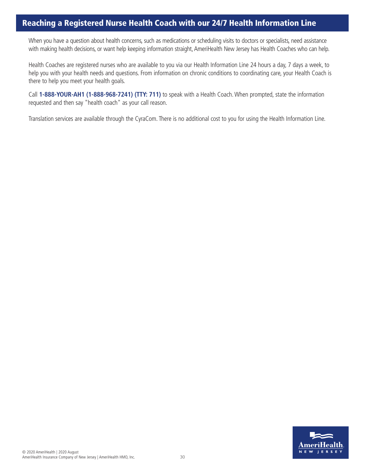## Reaching a Registered Nurse Health Coach with our 24/7 Health Information Line

When you have a question about health concerns, such as medications or scheduling visits to doctors or specialists, need assistance with making health decisions, or want help keeping information straight, AmeriHealth New Jersey has Health Coaches who can help.

Health Coaches are registered nurses who are available to you via our Health Information Line 24 hours a day, 7 days a week, to help you with your health needs and questions. From information on chronic conditions to coordinating care, your Health Coach is there to help you meet your health goals.

Call **1-888-YOUR-AH1 (1-888-968-7241) (TTY: 711)** to speak with a Health Coach. When prompted, state the information requested and then say "health coach" as your call reason.

Translation services are available through the CyraCom. There is no additional cost to you for using the Health Information Line.

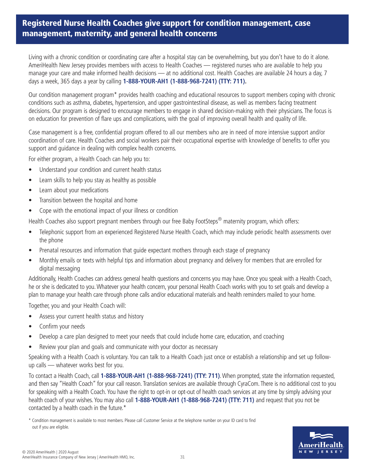# Registered Nurse Health Coaches give support for condition management, case management, maternity, and general health concerns

Living with a chronic condition or coordinating care after a hospital stay can be overwhelming, but you don't have to do it alone. AmeriHealth New Jersey provides members with access to Health Coaches — registered nurses who are available to help you manage your care and make informed health decisions — at no additional cost. Health Coaches are available 24 hours a day, 7 days a week, 365 days a year by calling **1-888-YOUR-AH1 (1-888-968-7241) (TTY: 711).**

Our condition management program\* provides health coaching and educational resources to support members coping with chronic conditions such as asthma, diabetes, hypertension, and upper gastrointestinal disease, as well as members facing treatment decisions. Our program is designed to encourage members to engage in shared decision-making with their physicians. The focus is on education for prevention of flare ups and complications, with the goal of improving overall health and quality of life.

Case management is a free, confidential program offered to all our members who are in need of more intensive support and/or coordination of care. Health Coaches and social workers pair their occupational expertise with knowledge of benefits to offer you support and guidance in dealing with complex health concerns.

For either program, a Health Coach can help you to:

- Understand your condition and current health status
- Learn skills to help you stay as healthy as possible
- Learn about your medications
- Transition between the hospital and home
- Cope with the emotional impact of your illness or condition

Health Coaches also support pregnant members through our free Baby FootSteps<sup>®</sup> maternity program, which offers:

- Telephonic support from an experienced Registered Nurse Health Coach, which may include periodic health assessments over the phone
- Prenatal resources and information that guide expectant mothers through each stage of pregnancy
- Monthly emails or texts with helpful tips and information about pregnancy and delivery for members that are enrolled for digital messaging

Additionally, Health Coaches can address general health questions and concerns you may have. Once you speak with a Health Coach, he or she is dedicated to you. Whatever your health concern, your personal Health Coach works with you to set goals and develop a plan to manage your health care through phone calls and/or educational materials and health reminders mailed to your home.

Together, you and your Health Coach will:

- Assess your current health status and history
- Confirm your needs
- Develop a care plan designed to meet your needs that could include home care, education, and coaching
- Review your plan and goals and communicate with your doctor as necessary

Speaking with a Health Coach is voluntary. You can talk to a Health Coach just once or establish a relationship and set up followup calls — whatever works best for you.

To contact a Health Coach, call **1-888-YOUR-AH1 (1-888-968-7241) (TTY: 711)**. When prompted, state the information requested, and then say "Health Coach" for your call reason. Translation services are available through CyraCom. There is no additional cost to you for speaking with a Health Coach. You have the right to opt-in or opt-out of health coach services at any time by simply advising your health coach of your wishes. You may also call **1-888-YOUR-AH1 (1-888-968-7241) (TTY: 711)** and request that you not be contacted by a health coach in the future.\*



<sup>\*</sup> Condition management is available to most members. Please call Customer Service at the telephone number on your ID card to find out if you are eligible.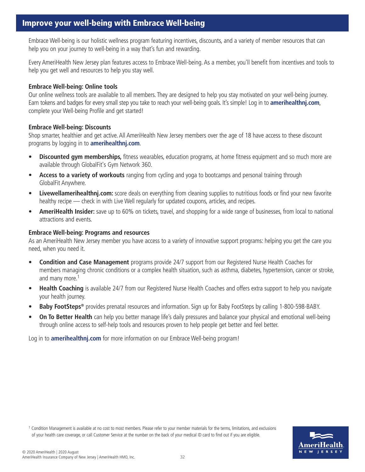Embrace Well-being is our holistic wellness program featuring incentives, discounts, and a variety of member resources that can help you on your journey to well-being in a way that's fun and rewarding.

Every AmeriHealth New Jersey plan features access to Embrace Well-being. As a member, you'll benefit from incentives and tools to help you get well and resources to help you stay well.

## **Embrace Well-being: Online tools**

Our online wellness tools are available to all members. They are designed to help you stay motivated on your well-being journey. Earn tokens and badges for every small step you take to reach your well-being goals. It's simple! Log in to **amerihealthnj.com**, complete your Well-being Profile and get started!

## **Embrace Well-being: Discounts**

Shop smarter, healthier and get active. All AmeriHealth New Jersey members over the age of 18 have access to these discount programs by logging in to **amerihealthnj.com**.

- **Discounted gym memberships,** fitness wearables, education programs, at home fitness equipment and so much more are available through GlobalFit's Gym Network 360.
- **Access to a variety of workouts** ranging from cycling and yoga to bootcamps and personal training through GlobalFit Anywhere.
- **Livewellamerihealthnj.com:** score deals on everything from cleaning supplies to nutritious foods or find your new favorite healthy recipe — check in with Live Well regularly for updated coupons, articles, and recipes.
- **AmeriHealth Insider:** save up to 60% on tickets, travel, and shopping for a wide range of businesses, from local to national attractions and events.

## **Embrace Well-being: Programs and resources**

As an AmeriHealth New Jersey member you have access to a variety of innovative support programs: helping you get the care you need, when you need it.

- **Condition and Case Management** programs provide 24/7 support from our Registered Nurse Health Coaches for members managing chronic conditions or a complex health situation, such as asthma, diabetes, hypertension, cancer or stroke, and many more.<sup>1</sup>
- **Health Coaching** is available 24/7 from our Registered Nurse Health Coaches and offers extra support to help you navigate your health journey.
- **Baby FootSteps®** provides prenatal resources and information. Sign up for Baby FootSteps by calling 1-800-598-BABY.
- **On To Better Health** can help you better manage life's daily pressures and balance your physical and emotional well-being through online access to self-help tools and resources proven to help people get better and feel better.

Log in to **amerihealthnj.com** for more information on our Embrace Well-being program!

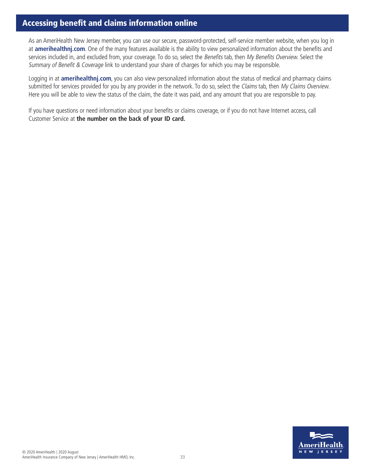# Accessing benefit and claims information online

As an AmeriHealth New Jersey member, you can use our secure, password-protected, self-service member website, when you log in at **amerihealthnj.com**. One of the many features available is the ability to view personalized information about the benefits and services included in, and excluded from, your coverage. To do so, select the Benefits tab, then My Benefits Overview. Select the Summary of Benefit & Coverage link to understand your share of charges for which you may be responsible.

Logging in at **amerihealthnj.com**, you can also view personalized information about the status of medical and pharmacy claims submitted for services provided for you by any provider in the network. To do so, select the Claims tab, then My Claims Overview. Here you will be able to view the status of the claim, the date it was paid, and any amount that you are responsible to pay.

If you have questions or need information about your benefits or claims coverage, or if you do not have Internet access, call Customer Service at **the number on the back of your ID card.**

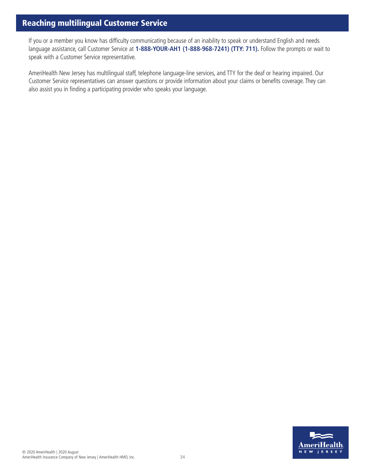# Reaching multilingual Customer Service

If you or a member you know has difficulty communicating because of an inability to speak or understand English and needs language assistance, call Customer Service at **1-888-YOUR-AH1 (1-888-968-7241) (TTY: 711).** Follow the prompts or wait to speak with a Customer Service representative.

AmeriHealth New Jersey has multilingual staff, telephone language-line services, and TTY for the deaf or hearing impaired. Our Customer Service representatives can answer questions or provide information about your claims or benefits coverage. They can also assist you in finding a participating provider who speaks your language.

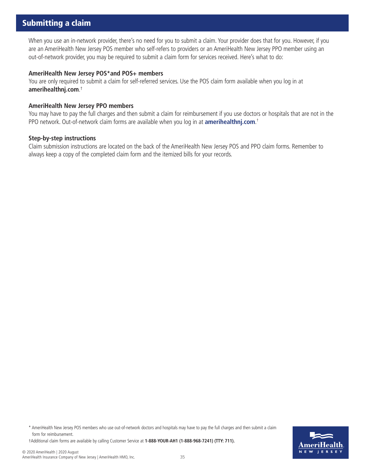# Submitting a claim

When you use an in-network provider, there's no need for you to submit a claim. Your provider does that for you. However, if you are an AmeriHealth New Jersey POS member who self-refers to providers or an AmeriHealth New Jersey PPO member using an out-of-network provider, you may be required to submit a claim form for services received. Here's what to do:

#### **AmeriHealth New Jersey POS\*and POS+ members**

You are only required to submit a claim for self-referred services. Use the POS claim form available when you log in at **amerihealthnj.com**. †

#### **AmeriHealth New Jersey PPO members**

You may have to pay the full charges and then submit a claim for reimbursement if you use doctors or hospitals that are not in the PPO network. Out-of-network claim forms are available when you log in at **amerihealthnj.com**. †

#### **Step-by-step instructions**

Claim submission instructions are located on the back of the AmeriHealth New Jersey POS and PPO claim forms. Remember to always keep a copy of the completed claim form and the itemized bills for your records.

\* AmeriHealth New Jersey POS members who use out-of-network doctors and hospitals may have to pay the full charges and then submit a claim form for reimbursement.

†Additional claim forms are available by calling Customer Service at **1-888-YOUR-AH1 (1-888-968-7241) (TTY: 711).**

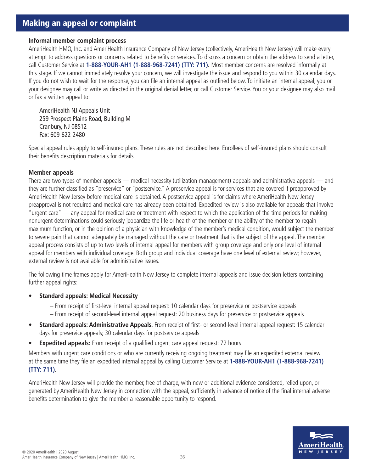# Making an appeal or complaint

#### **Informal member complaint process**

AmeriHealth HMO, Inc. and AmeriHealth Insurance Company of New Jersey (collectively, AmeriHealth New Jersey) will make every attempt to address questions or concerns related to benefits or services. To discuss a concern or obtain the address to send a letter, call Customer Service at **1-888-YOUR-AH1 (1-888-968-7241) (TTY: 711).** Most member concerns are resolved informally at this stage. If we cannot immediately resolve your concern, we will investigate the issue and respond to you within 30 calendar days. If you do not wish to wait for the response, you can file an internal appeal as outlined below. To initiate an internal appeal, you or your designee may call or write as directed in the original denial letter, or call Customer Service. You or your designee may also mail or fax a written appeal to:

AmeriHealth NJ Appeals Unit 259 Prospect Plains Road, Building M Cranbury, NJ 08512 Fax: 609-622-2480

Special appeal rules apply to self-insured plans. These rules are not described here. Enrollees of self-insured plans should consult their benefits description materials for details.

#### **Member appeals**

There are two types of member appeals — medical necessity (utilization management) appeals and administrative appeals — and they are further classified as "preservice" or "postservice." A preservice appeal is for services that are covered if preapproved by AmeriHealth New Jersey before medical care is obtained. A postservice appeal is for claims where AmeriHealth New Jersey preapproval is not required and medical care has already been obtained. Expedited review is also available for appeals that involve "urgent care" — any appeal for medical care or treatment with respect to which the application of the time periods for making nonurgent determinations could seriously jeopardize the life or health of the member or the ability of the member to regain maximum function, or in the opinion of a physician with knowledge of the member's medical condition, would subject the member to severe pain that cannot adequately be managed without the care or treatment that is the subject of the appeal. The member appeal process consists of up to two levels of internal appeal for members with group coverage and only one level of internal appeal for members with individual coverage. Both group and individual coverage have one level of external review; however, external review is not available for administrative issues.

The following time frames apply for AmeriHealth New Jersey to complete internal appeals and issue decision letters containing further appeal rights:

- **Standard appeals: Medical Necessity**
	- From receipt of first-level internal appeal request: 10 calendar days for preservice or postservice appeals – From receipt of second-level internal appeal request: 20 business days for preservice or postservice appeals
- **Standard appeals: Administrative Appeals.** From receipt of first- or second-level internal appeal request: 15 calendar days for preservice appeals; 30 calendar days for postservice appeals
- **Expedited appeals:** From receipt of a qualified urgent care appeal request: 72 hours

Members with urgent care conditions or who are currently receiving ongoing treatment may file an expedited external review at the same time they file an expedited internal appeal by calling Customer Service at **1-888-YOUR-AH1 (1-888-968-7241) (TTY: 711).**

AmeriHealth New Jersey will provide the member, free of charge, with new or additional evidence considered, relied upon, or generated by AmeriHealth New Jersey in connection with the appeal, sufficiently in advance of notice of the final internal adverse benefits determination to give the member a reasonable opportunity to respond.

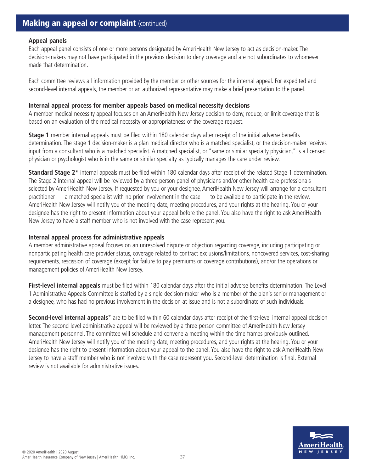# **Making an appeal or complaint (continued)**

#### **Appeal panels**

Each appeal panel consists of one or more persons designated by AmeriHealth New Jersey to act as decision-maker. The decision-makers may not have participated in the previous decision to deny coverage and are not subordinates to whomever made that determination.

Each committee reviews all information provided by the member or other sources for the internal appeal. For expedited and second-level internal appeals, the member or an authorized representative may make a brief presentation to the panel.

#### **Internal appeal process for member appeals based on medical necessity decisions**

A member medical necessity appeal focuses on an AmeriHealth New Jersey decision to deny, reduce, or limit coverage that is based on an evaluation of the medical necessity or appropriateness of the coverage request.

**Stage 1** member internal appeals must be filed within 180 calendar days after receipt of the initial adverse benefits determination. The stage 1 decision-maker is a plan medical director who is a matched specialist, or the decision-maker receives input from a consultant who is a matched specialist. A matched specialist, or "same or similar specialty physician," is a licensed physician or psychologist who is in the same or similar specialty as typically manages the care under review.

**Standard Stage 2\*** internal appeals must be filed within 180 calendar days after receipt of the related Stage 1 determination. The Stage 2 internal appeal will be reviewed by a three-person panel of physicians and/or other health care professionals selected by AmeriHealth New Jersey. If requested by you or your designee, AmeriHealth New Jersey will arrange for a consultant practitioner — a matched specialist with no prior involvement in the case — to be available to participate in the review. AmeriHealth New Jersey will notify you of the meeting date, meeting procedures, and your rights at the hearing. You or your designee has the right to present information about your appeal before the panel. You also have the right to ask AmeriHealth New Jersey to have a staff member who is not involved with the case represent you.

#### **Internal appeal process for administrative appeals**

A member administrative appeal focuses on an unresolved dispute or objection regarding coverage, including participating or nonparticipating health care provider status, coverage related to contract exclusions/limitations, noncovered services, cost-sharing requirements, rescission of coverage (except for failure to pay premiums or coverage contributions), and/or the operations or management policies of AmeriHealth New Jersey.

**First-level internal appeals** must be filed within 180 calendar days after the initial adverse benefits determination. The Level 1 Administrative Appeals Committee is staffed by a single decision-maker who is a member of the plan's senior management or a designee, who has had no previous involvement in the decision at issue and is not a subordinate of such individuals.

**Second-level internal appeals**\* are to be filed within 60 calendar days after receipt of the first-level internal appeal decision letter. The second-level administrative appeal will be reviewed by a three-person committee of AmeriHealth New Jersey management personnel. The committee will schedule and convene a meeting within the time frames previously outlined. AmeriHealth New Jersey will notify you of the meeting date, meeting procedures, and your rights at the hearing. You or your designee has the right to present information about your appeal to the panel. You also have the right to ask AmeriHealth New Jersey to have a staff member who is not involved with the case represent you. Second-level determination is final. External review is not available for administrative issues.